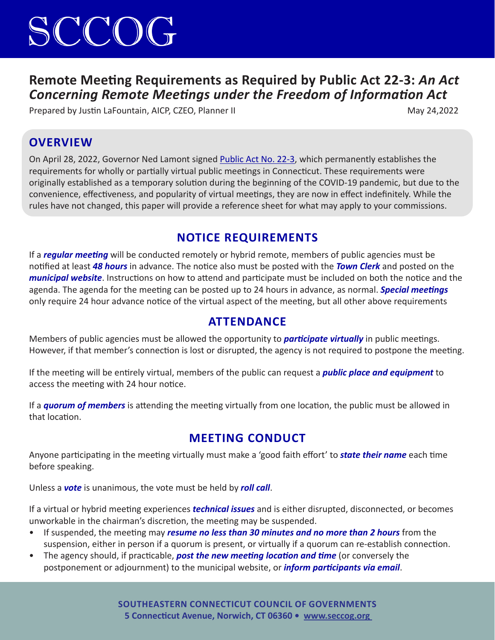## SCCOG

## **Remote Meeting Requirements as Required by Public Act 22-3:** *An Act Concerning Remote Meetings under the Freedom of Information Act*

Prepared by Justin LaFountain, AICP, CZEO, Planner II May 24,2022

#### **OVERVIEW**

On April 28, 2022, Governor Ned Lamont signed Public Act No. 22-3, which permanently establishes the requirements for wholly or partially virtual public meetings in Connecticut. These requirements were originally established as a temporary solution during the beginning of the COVID-19 pandemic, but due to the convenience, effectiveness, and popularity of virtual meetings, they are now in effect indefinitely. While the rules have not changed, this paper will provide a reference sheet for what may apply to your commissions.

## **NOTICE REQUIREMENTS**

If a *regular meeting* will be conducted remotely or hybrid remote, members of public agencies must be notified at least *48 hours* in advance. The notice also must be posted with the *Town Clerk* and posted on the *municipal website*. Instructions on how to attend and participate must be included on both the notice and the agenda. The agenda for the meeting can be posted up to 24 hours in advance, as normal. *Special meetings* only require 24 hour advance notice of the virtual aspect of the meeting, but all other above requirements

#### **ATTENDANCE**

Members of public agencies must be allowed the opportunity to *participate virtually* in public meetings. However, if that member's connection is lost or disrupted, the agency is not required to postpone the meeting.

If the meeting will be entirely virtual, members of the public can request a *public place and equipment* to access the meeting with 24 hour notice.

If a *quorum of members* is attending the meeting virtually from one location, the public must be allowed in that location.

## **MEETING CONDUCT**

Anyone participating in the meeting virtually must make a 'good faith effort' to *state their name* each time before speaking.

Unless a *vote* is unanimous, the vote must be held by *roll call*.

If a virtual or hybrid meeting experiences *technical issues* and is either disrupted, disconnected, or becomes unworkable in the chairman's discretion, the meeting may be suspended.

- If suspended, the meeting may *resume no less than 30 minutes and no more than 2 hours* from the suspension, either in person if a quorum is present, or virtually if a quorum can re-establish connection.
- The agency should, if practicable, *post the new meeting location and time* (or conversely the postponement or adjournment) to the municipal website, or *inform participants via email*.